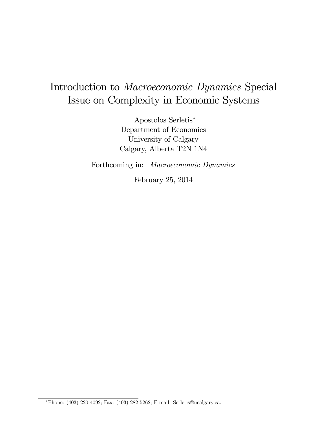# Introduction to Macroeconomic Dynamics Special Issue on Complexity in Economic Systems

Apostolos Serletis Department of Economics University of Calgary Calgary, Alberta T2N 1N4

Forthcoming in: Macroeconomic Dynamics

February 25, 2014

Phone: (403) 220-4092; Fax: (403) 282-5262; E-mail: Serletis@ucalgary.ca.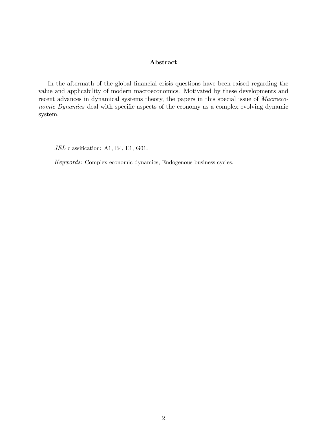### Abstract

In the aftermath of the global financial crisis questions have been raised regarding the value and applicability of modern macroeconomics. Motivated by these developments and recent advances in dynamical systems theory, the papers in this special issue of Macroeconomic Dynamics deal with specific aspects of the economy as a complex evolving dynamic system.

 $JEL$  classification: A1, B4, E1, G01.

Keywords: Complex economic dynamics, Endogenous business cycles.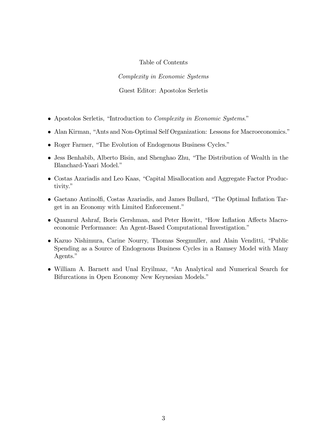#### Table of Contents

#### Complexity in Economic Systems

Guest Editor: Apostolos Serletis

- Apostolos Serletis, "Introduction to Complexity in Economic Systems."
- Alan Kirman, "Ants and Non-Optimal Self Organization: Lessons for Macroeconomics."
- Roger Farmer, "The Evolution of Endogenous Business Cycles."
- Jess Benhabib, Alberto Bisin, and Shenghao Zhu, "The Distribution of Wealth in the Blanchard-Yaari Model."
- Costas Azariadis and Leo Kaas, "Capital Misallocation and Aggregate Factor Productivity."
- Gaetano Antinolfi, Costas Azariadis, and James Bullard, "The Optimal Inflation Target in an Economy with Limited Enforcement."
- Quamrul Ashraf, Boris Gershman, and Peter Howitt, "How Inflation Affects Macroeconomic Performance: An Agent-Based Computational Investigation."
- Kazuo Nishimura, Carine Nourry, Thomas Seegmuller, and Alain Venditti, "Public Spending as a Source of Endogenous Business Cycles in a Ramsey Model with Many Agents."
- William A. Barnett and Unal Eryilmaz, "An Analytical and Numerical Search for Bifurcations in Open Economy New Keynesian Models."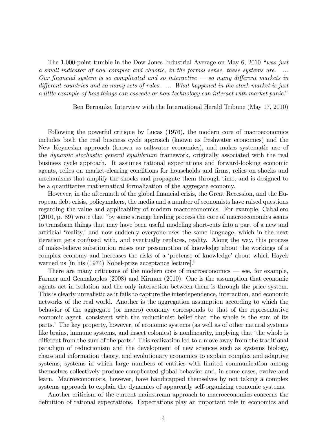The 1,000-point tumble in the Dow Jones Industrial Average on May 6, 2010  $\degree$  was just a small indicator of how complex and chaotic, in the formal sense, these systems are. Our financial system is so complicated and so interactive  $\sim$  so many different markets in different countries and so many sets of rules. ... What happened in the stock market is just a little example of how things can cascade or how technology can interact with market panic."

Ben Bernanke, Interview with the International Herald Tribune (May 17, 2010)

Following the powerful critique by Lucas (1976), the modern core of macroeconomics includes both the real business cycle approach (known as freshwater economics) and the New Keynesian approach (known as saltwater economics), and makes systematic use of the dynamic stochastic general equilibrium framework, originally associated with the real business cycle approach. It assumes rational expectations and forward-looking economic agents, relies on market-clearing conditions for households and firms, relies on shocks and mechanisms that amplify the shocks and propagate them through time, and is designed to be a quantitative mathematical formalization of the aggregate economy.

However, in the aftermath of the global financial crisis, the Great Recession, and the European debt crisis, policymakers, the media and a number of economists have raised questions regarding the value and applicability of modern macroeconomics. For example, Caballero  $(2010, p. 89)$  wrote that "by some strange herding process the core of macroeconomics seems to transform things that may have been useful modeling short-cuts into a part of a new and artificial 'reality,' and now suddenly everyone uses the same language, which in the next iteration gets confused with, and eventually replaces, reality. Along the way, this process of make-believe substitution raises our presumption of knowledge about the workings of a complex economy and increases the risks of a 'pretense of knowledge' about which Hayek warned us [in his (1974) Nobel-prize acceptance lecture].<sup>n</sup>

There are many criticisms of the modern core of macroeconomics  $\sim$  see, for example, Farmer and Geanakoplos (2008) and Kirman (2010). One is the assumption that economic agents act in isolation and the only interaction between them is through the price system. This is clearly unrealistic as it fails to capture the interdependence, interaction, and economic networks of the real world. Another is the aggregation assumption according to which the behavior of the aggregate (or macro) economy corresponds to that of the representative economic agent, consistent with the reductionist belief that ëthe whole is the sum of its parts.í The key property, however, of economic systems (as well as of other natural systems like brains, immune systems, and insect colonies) is nonlinearity, implying that 'the whole is different from the sum of the parts.<sup>7</sup> This realization led to a move away from the traditional paradigm of reductionism and the development of new sciences such as systems biology, chaos and information theory, and evolutionary economics to explain complex and adaptive systems, systems in which large numbers of entities with limited communication among themselves collectively produce complicated global behavior and, in some cases, evolve and learn. Macroeconomists, however, have handicapped themselves by not taking a complex systems approach to explain the dynamics of apparently self-organizing economic systems.

Another criticism of the current mainstream approach to macroeconomics concerns the definition of rational expectations. Expectations play an important role in economics and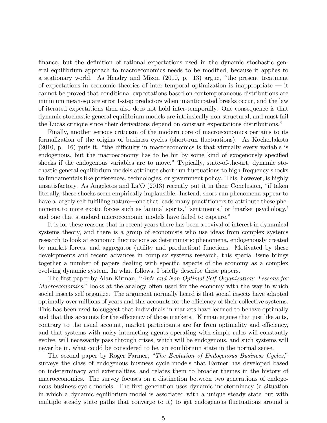finance, but the definition of rational expectations used in the dynamic stochastic general equilibrium approach to macroeconomics needs to be modified, because it applies to a stationary world. As Hendry and Mizon (2010, p. 13) argue, "the present treatment of expectations in economic theories of inter-temporal optimization is inappropriate  $-$  it cannot be proved that conditional expectations based on contemporaneous distributions are minimum mean-square error 1-step predictors when unanticipated breaks occur, and the law of iterated expectations then also does not hold inter-temporally. One consequence is that dynamic stochastic general equilibrium models are intrinsically non-structural, and must fail the Lucas critique since their derivations depend on constant expectations distributions."

Finally, another serious criticism of the modern core of macroeconomics pertains to its formalization of the origins of business cycles (short-run fluctuations). As Kocherlakota  $(2010, p. 16)$  puts it, "the difficulty in macroeconomics is that virtually every variable is endogenous, but the macroeconomy has to be hit by some kind of exogenously specified shocks if the endogenous variables are to move." Typically, state-of-the-art, dynamic stochastic general equilibrium models attribute short-run fluctuations to high-frequency shocks to fundamentals like preferences, technologies, or government policy. This, however, is highly unsatisfactory. As Angeletos and La<sup>'</sup>O (2013) recently put it in their Conclusion, "if taken literally, these shocks seem empirically implausible. Instead, short-run phenomena appear to have a largely self-fulfilling nature—one that leads many practitioners to attribute these phenomena to more exotic forces such as 'animal spirits,' 'sentiments,' or 'market psychology,' and one that standard macroeconomic models have failed to capture."

It is for these reasons that in recent years there has been a revival of interest in dynamical systems theory, and there is a group of economists who use ideas from complex systems research to look at economic fluctuations as deterministic phenomena, endogenously created by market forces, and aggregator (utility and production) functions. Motivated by these developments and recent advances in complex systems research, this special issue brings together a number of papers dealing with specific aspects of the economy as a complex evolving dynamic system. In what follows, I briefly describe these papers.

The first paper by Alan Kirman, "Ants and Non-Optimal Self Organization: Lessons for *Macroeconomics*," looks at the analogy often used for the economy with the way in which social insects self organize. The argument normally heard is that social insects have adapted optimally over millions of years and this accounts for the efficiency of their collective systems. This has been used to suggest that individuals in markets have learned to behave optimally and that this accounts for the efficiency of those markets. Kirman argues that just like ants, contrary to the usual account, market participants are far from optimality and efficiency, and that systems with noisy interacting agents operating with simple rules will constantly evolve, will necessarily pass through crises, which will be endogenous, and such systems will never be in, what could be considered to be, an equilibrium state in the normal sense.

The second paper by Roger Farmer, "The Evolution of Endogenous Business Cycles," surveys the class of endogenous business cycle models that Farmer has developed based on indeterminacy and externalities, and relates them to broader themes in the history of macroeconomics. The survey focuses on a distinction between two generations of endogenous business cycle models. The first generation uses dynamic indeterminacy (a situation in which a dynamic equilibrium model is associated with a unique steady state but with multiple steady state paths that converge to it) to get endogenous fluctuations around a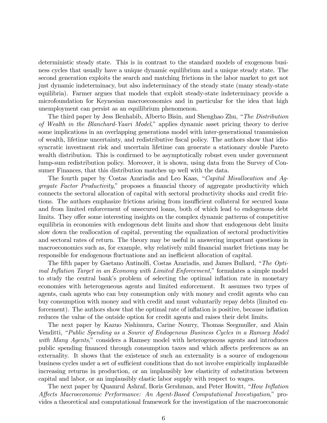deterministic steady state. This is in contrast to the standard models of exogenous business cycles that usually have a unique dynamic equilibrium and a unique steady state. The second generation exploits the search and matching frictions in the labor market to get not just dynamic indeterminacy, but also indeterminacy of the steady state (many steady-state equilibria). Farmer argues that models that exploit steady-state indeterminacy provide a microfoundation for Keynesian macroeconomics and in particular for the idea that high unemployment can persist as an equilibrium phenomenon.

The third paper by Jess Benhabib, Alberto Bisin, and Shenghao Zhu, "The Distribution" of Wealth in the Blanchard-Yaari Model," applies dynamic asset pricing theory to derive some implications in an overlapping generations model with inter-generational transmission of wealth, lifetime uncertainty, and redistributive Öscal policy. The authors show that idiosyncratic investment risk and uncertain lifetime can generate a stationary double Pareto wealth distribution. This is confirmed to be asymptotically robust even under government lump-sum redistribution policy. Moreover, it is shown, using data from the Survey of Consumer Finances, that this distribution matches up well with the data.

The fourth paper by Costas Azariadis and Leo Kaas, "Capital Misallocation and Aggregate Factor Productivity," proposes a financial theory of aggregate productivity which connects the sectoral allocation of capital with sectoral productivity shocks and credit frictions. The authors emphasize frictions arising from insufficient collateral for secured loans and from limited enforcement of unsecured loans, both of which lead to endogenous debt limits. They offer some interesting insights on the complex dynamic patterns of competitive equilibria in economies with endogenous debt limits and show that endogenous debt limits slow down the reallocation of capital, preventing the equalization of sectoral productivities and sectoral rates of return. The theory may be useful in answering important questions in macroeconomics such as, for example, why relatively mild financial market frictions may be responsible for endogenous fluctuations and an inefficient allocation of capital.

The fifth paper by Gaetano Antinolfi, Costas Azariadis, and James Bullard, "The Optimal Inflation Target in an Economy with Limited Enforcement," formulates a simple model to study the central bank's problem of selecting the optimal inflation rate in monetary economies with heterogeneous agents and limited enforcement. It assumes two types of agents, cash agents who can buy consumption only with money and credit agents who can buy consumption with money and with credit and must voluntarily repay debts (limited enforcement). The authors show that the optimal rate of inflation is positive, because inflation reduces the value of the outside option for credit agents and raises their debt limits.

The next paper by Kazuo Nishimura, Carine Nourry, Thomas Seegmuller, and Alain Venditti, "Public Spending as a Source of Endogenous Business Cycles in a Ramsey Model with Many Agents," considers a Ramsey model with heterogeneous agents and introduces public spending financed through consumption taxes and which affects preferences as an externality. It shows that the existence of such an externality is a source of endogenous business cycles under a set of sufficient conditions that do not involve empirically implausible increasing returns in production, or an implausibly low elasticity of substitution between capital and labor, or an implausibly elastic labor supply with respect to wages.

The next paper by Quamrul Ashraf, Boris Gershman, and Peter Howitt, "*How Inflation* Affects Macroeconomic Performance: An Agent-Based Computational Investigation," provides a theoretical and computational framework for the investigation of the macroeconomic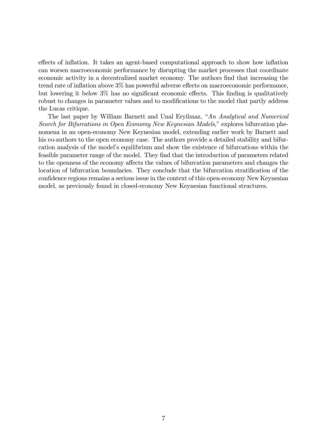effects of inflation. It takes an agent-based computational approach to show how inflation can worsen macroeconomic performance by disrupting the market processes that coordinate economic activity in a decentralized market economy. The authors find that increasing the trend rate of inflation above  $3\%$  has powerful adverse effects on macroeconomic performance, but lowering it below  $3\%$  has no significant economic effects. This finding is qualitatively robust to changes in parameter values and to modifications to the model that partly address the Lucas critique.

The last paper by William Barnett and Unal Eryilmaz, "An Analytical and Numerical Search for Bifurcations in Open Economy New Keynesian Models," explores bifurcation phenomena in an open-economy New Keynesian model, extending earlier work by Barnett and his co-authors to the open economy case. The authors provide a detailed stability and bifurcation analysis of the model's equilibrium and show the existence of bifurcations within the feasible parameter range of the model. They find that the introduction of parameters related to the openness of the economy affects the values of bifurcation parameters and changes the location of bifurcation boundaries. They conclude that the bifurcation stratification of the confidence regions remains a serious issue in the context of this open-economy New Keynesian model, as previously found in closed-economy New Keynesian functional structures.